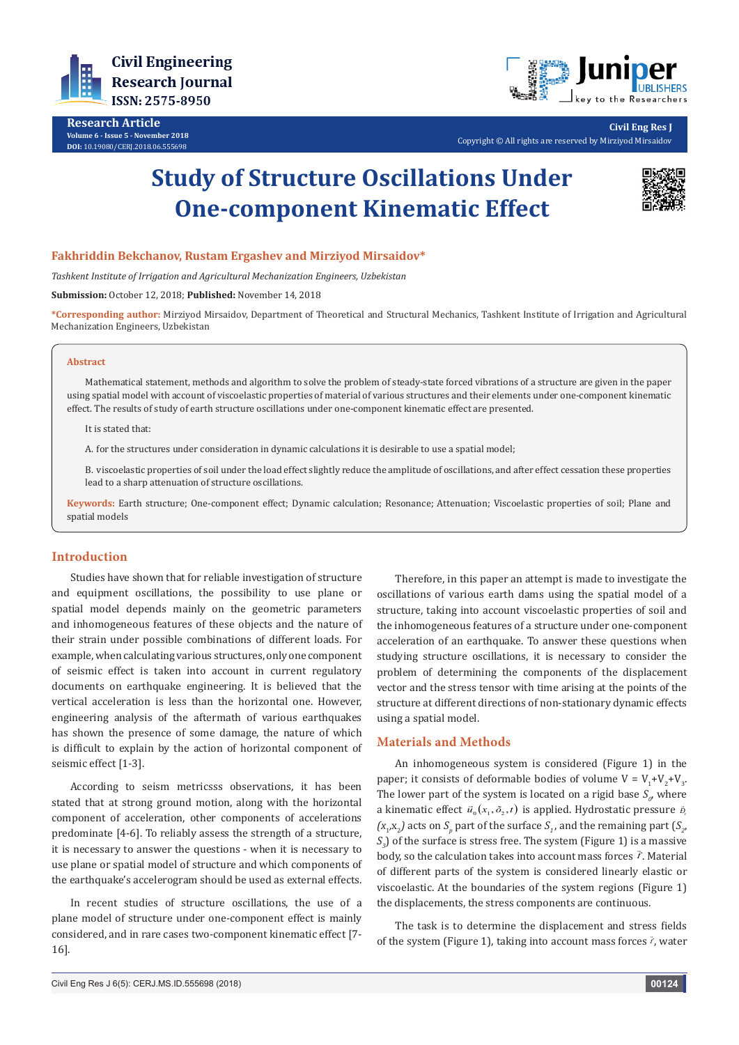

**Research Article Volume 6 - Issue 5 - November 2018 DOI:** [10.19080/CERJ.2018.06.555698](http://dx.doi.org/10.19080/CERJ.2018.06.555698)



**Civil Eng Res J** Copyright © All rights are reserved by Mirziyod Mirsaidov

# **Study of Structure Oscillations Under One-component Kinematic Effect**



## **Fakhriddin Bekchanov, Rustam Ergashev and Mirziyod Mirsaidov\***

*Tashkent Institute of Irrigation and Agricultural Mechanization Engineers, Uzbekistan*

**Submission:** October 12, 2018; **Published:** November 14, 2018

**\*Corresponding author:** Mirziyod Mirsaidov, Department of Theoretical and Structural Mechanics, Tashkent Institute of Irrigation and Agricultural Mechanization Engineers, Uzbekistan

#### **Abstract**

Mathematical statement, methods and algorithm to solve the problem of steady-state forced vibrations of a structure are given in the paper using spatial model with account of viscoelastic properties of material of various structures and their elements under one-component kinematic effect. The results of study of earth structure oscillations under one-component kinematic effect are presented.

It is stated that:

A. for the structures under consideration in dynamic calculations it is desirable to use a spatial model;

B. viscoelastic properties of soil under the load effect slightly reduce the amplitude of oscillations, and after effect cessation these properties lead to a sharp attenuation of structure oscillations.

**Keywords:** Earth structure; One-component effect; Dynamic calculation; Resonance; Attenuation; Viscoelastic properties of soil; Plane and spatial models

#### **Introduction**

Studies have shown that for reliable investigation of structure and equipment oscillations, the possibility to use plane or spatial model depends mainly on the geometric parameters and inhomogeneous features of these objects and the nature of their strain under possible combinations of different loads. For example, when calculating various structures, only one component of seismic effect is taken into account in current regulatory documents on earthquake engineering. It is believed that the vertical acceleration is less than the horizontal one. However, engineering analysis of the aftermath of various earthquakes has shown the presence of some damage, the nature of which is difficult to explain by the action of horizontal component of seismic effect [1-3].

According to seism metricsss observations, it has been stated that at strong ground motion, along with the horizontal component of acceleration, other components of accelerations predominate [4-6]. To reliably assess the strength of a structure, it is necessary to answer the questions - when it is necessary to use plane or spatial model of structure and which components of the earthquake's accelerogram should be used as external effects.

In recent studies of structure oscillations, the use of a plane model of structure under one-component effect is mainly considered, and in rare cases two-component kinematic effect [7- 16].

Therefore, in this paper an attempt is made to investigate the oscillations of various earth dams using the spatial model of a structure, taking into account viscoelastic properties of soil and the inhomogeneous features of a structure under one-component acceleration of an earthquake. To answer these questions when studying structure oscillations, it is necessary to consider the problem of determining the components of the displacement vector and the stress tensor with time arising at the points of the structure at different directions of non-stationary dynamic effects using a spatial model.

#### **Materials and Methods**

An inhomogeneous system is considered (Figure 1) in the paper; it consists of deformable bodies of volume  $V = V_1 + V_2 + V_3$ . The lower part of the system is located on a rigid base  $S_{\rho}$ , where a kinematic effect  $\vec{u}_0(x_1, \delta_2, t)$  is applied. Hydrostatic pressure  $\vec{p}_s$  $(x_y, x_z)$  acts on  $S_p$  part of the surface  $S_q$ , and the remaining part  $(S_{z}$  $S<sub>3</sub>$ ) of the surface is stress free. The system (Figure 1) is a massive body, so the calculation takes into account mass forces  $\vec{r}$ . Material of different parts of the system is considered linearly elastic or viscoelastic. At the boundaries of the system regions (Figure 1) the displacements, the stress components are continuous.

The task is to determine the displacement and stress fields of the system (Figure 1), taking into account mass forces  $\tilde{r}$ , water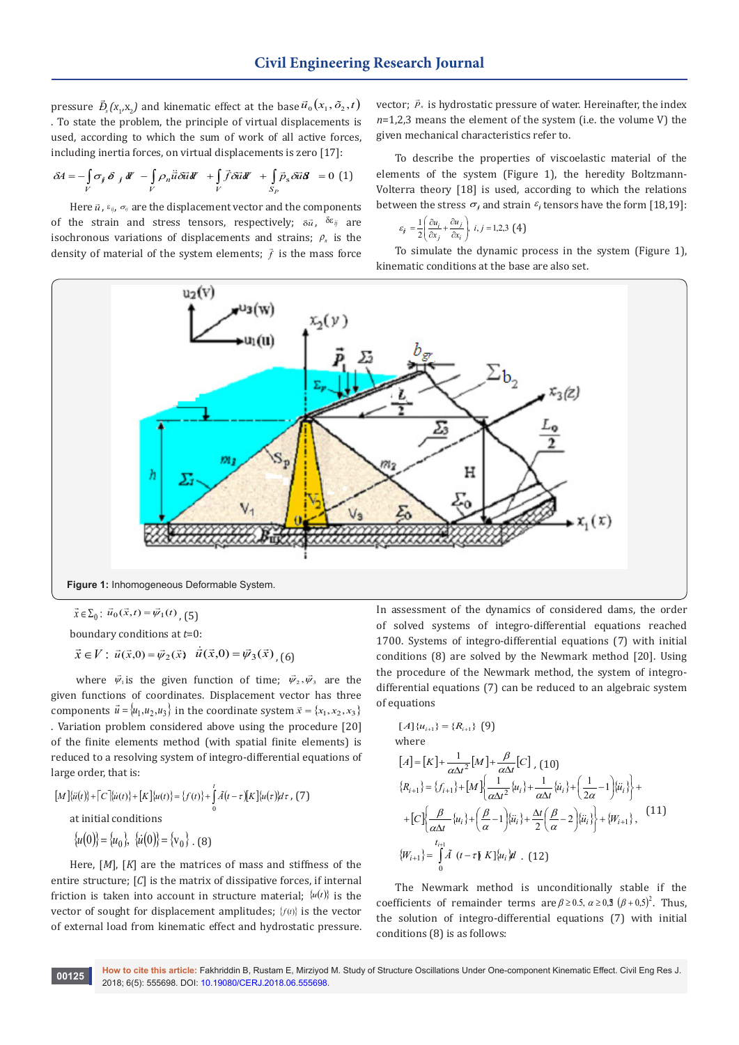pressure  $\vec{B}_s(x_1, x_2)$  and kinematic effect at the base  $\vec{u}_0(x_1, \delta_2, t)$ . To state the problem, the principle of virtual displacements is used, according to which the sum of work of all active forces, including inertia forces, on virtual displacements is zero [17]:

$$
\delta A = -\int\limits_V \sigma_j \,\delta \, J \,dV - \int\limits_V \rho_n \ddot{\vec{u}} \,\delta \vec{u} \,dV + \int\limits_V \vec{f} \,\delta \vec{u} \,dV + \int\limits_{S_P} \vec{p}_s \,\delta \vec{u} \,dS = 0 \,\,(1)
$$

Here  $\vec{u}$  ,  $\varepsilon_{ij}$ ,  $\sigma_{ij}$  are the displacement vector and the components of the strain and stress tensors, respectively;  $\delta \vec{u}$ ,  $\delta \epsilon_{ij}$  are isochronous variations of displacements and strains;  $\rho_n$  is the density of material of the system elements;  $\vec{f}$  is the mass force vector;  $\vec{p}_s$  is hydrostatic pressure of water. Hereinafter, the index *n*=1,2,3 means the element of the system (i.e. the volume V) the given mechanical characteristics refer to.

To describe the properties of viscoelastic material of the elements of the system (Figure 1), the heredity Boltzmann-Volterra theory [18] is used, according to which the relations between the stress  $\sigma_i$  and strain  $\varepsilon_i$  tensors have the form [18,19]:

$$
\varepsilon_j = \frac{1}{2} \left( \frac{\partial u_i}{\partial x_j} + \frac{\partial u_j}{\partial x_i} \right), \ i, j = 1, 2, 3 \tag{4}
$$

To simulate the dynamic process in the system (Figure 1), kinematic conditions at the base are also set.



 $\vec{x} \in \Sigma_0$ :  $\vec{u}_0(\vec{x}, t) = \vec{\psi}_1(t)$ , (5) boundary conditions at *t*=0:

 $\vec{x} \in V : \vec{u}(\vec{x},0) = \vec{\psi}_2(\vec{x}) \quad \dot{\vec{u}}(\vec{x},0) = \vec{\psi}_3(\vec{x})$ , (6)

where  $\vec{\psi}_1$  is the given function of time;  $\vec{\psi}_2$ ,  $\vec{\psi}_3$  are the given functions of coordinates. Displacement vector has three components  $\vec{u} = \{u_1, u_2, u_3\}$  in the coordinate system  $\vec{x} = \{x_1, x_2, x_3\}$ . Variation problem considered above using the procedure [20] of the finite elements method (with spatial finite elements) is reduced to a resolving system of integro-differential equations of large order, that is:

$$
[M]\{ii(t)\} + [C]\{ii(t)\} + [K]\{u(t)\} = \{f(t)\} + \int_{0}^{t} \tilde{A}(t-\tau)[K]\{u(\tau)\}d\tau, (7)
$$
  
at initial conditions  

$$
\{u(0)\} = \{u_0\}, \ \{ii(0)\} = \{v_0\} \ . \ (8)
$$

Here, [*M*], [*K*] are the matrices of mass and stiffness of the entire structure; [*C*] is the matrix of dissipative forces, if internal friction is taken into account in structure material;  $\{u(t)\}\$ is the vector of sought for displacement amplitudes;  $\{f(t)\}\$ is the vector of external load from kinematic effect and hydrostatic pressure. In assessment of the dynamics of considered dams, the order of solved systems of integro-differential equations reached 1700. Systems of integro-differential equations (7) with initial conditions (8) are solved by the Newmark method [20]. Using the procedure of the Newmark method, the system of integrodifferential equations (7) can be reduced to an algebraic system of equations

$$
[A] \{u_{i+1}\} = \{R_{i+1}\} \quad (9)
$$
\nwhere\n
$$
[A] = [K] + \frac{1}{\alpha \Delta t^2} [M] + \frac{\beta}{\alpha \Delta t} [C], \quad (10)
$$
\n
$$
\{R_{i+1}\} = \{f_{i+1}\} + [M] \left\{ \frac{1}{\alpha \Delta t^2} \{u_i\} + \frac{1}{\alpha \Delta t} \{u_i\} + \left( \frac{1}{2\alpha} - 1 \right) \{u_i\} \right\} +
$$
\n
$$
+ [C] \left\{ \frac{\beta}{\alpha \Delta t} \{u_i\} + \left( \frac{\beta}{\alpha} - 1 \right) \{u_i\} + \frac{\Delta t}{2} \left( \frac{\beta}{\alpha} - 2 \right) \{u_i\} \right\} + \{W_{i+1}\}, \quad (11)
$$
\n
$$
\{W_{i+1}\} = \int_{0}^{t_{i+1}} \tilde{A} \ (t - \tau) \ K] \{u_i\} d \ . \quad (12)
$$

The Newmark method is unconditionally stable if the coefficients of remainder terms are  $\beta \ge 0.5$ ,  $\alpha \ge 0.2$   $(\beta + 0.5)^2$ . Thus, the solution of integro-differential equations (7) with initial conditions (8) is as follows: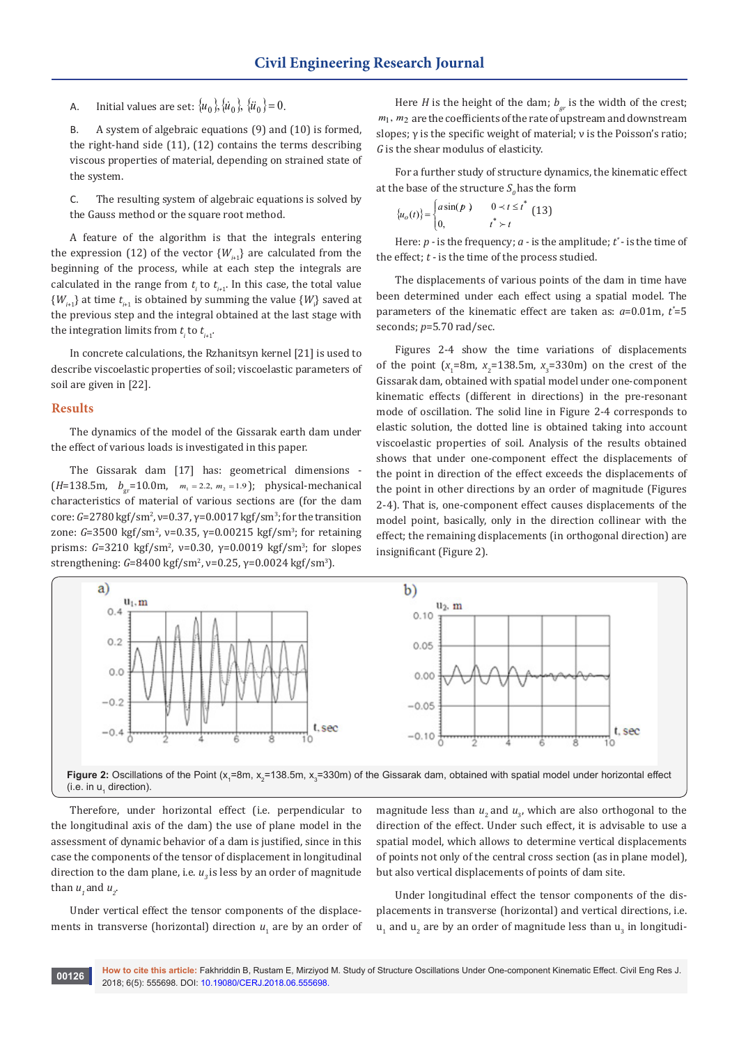A. Initial values are set:  $\{u_0\}$ ,  $\{\dot{u}_0\}$ ,  $\{\ddot{u}_0\}$  = 0.

B. A system of algebraic equations (9) and (10) is formed, the right-hand side (11), (12) contains the terms describing viscous properties of material, depending on strained state of the system.

C. The resulting system of algebraic equations is solved by the Gauss method or the square root method.

A feature of the algorithm is that the integrals entering the expression (12) of the vector  ${W_{i+1}}$  are calculated from the beginning of the process, while at each step the integrals are calculated in the range from  $t_i$  to  $t_{i+1}$ . In this case, the total value  $\{W_{i+1}\}$  at time  $t_{i+1}$  is obtained by summing the value  $\{W_i\}$  saved at the previous step and the integral obtained at the last stage with the integration limits from  $t_i$  to  $t_{i+1}$ *.*

In concrete calculations, the Rzhanitsyn kernel [21] is used to describe viscoelastic properties of soil; viscoelastic parameters of soil are given in [22].

#### **Results**

The dynamics of the model of the Gissarak earth dam under the effect of various loads is investigated in this paper.

The Gissarak dam [17] has: geometrical dimensions -  $(H=138.5m, b<sub>or</sub>=10.0m, m<sub>1</sub>=2.2, m<sub>2</sub>=1.9$ ; physical-mechanical characteristics of material of various sections are (for the dam core: *G*=2780 kgf/sm2 , ν=0.37, γ=0.0017 kgf/sm<sup>3</sup> ; for the transition zone: *G*=3500 kgf/sm<sup>2</sup>, ν=0.35, γ=0.00215 kgf/sm<sup>3</sup>; for retaining prisms: *G*=3210 kgf/sm<sup>2</sup>, v=0.30, γ=0.0019 kgf/sm<sup>3</sup>; for slopes strengthening: *G*=8400 kgf/sm<sup>2</sup>, ν=0.25, γ=0.0024 kgf/sm<sup>3</sup>).

Here *H* is the height of the dam;  $b_{ar}$  is the width of the crest;  $m_1$ ,  $m_2$  are the coefficients of the rate of upstream and downstream slopes; γ is the specific weight of material; ν is the Poisson's ratio; *G* is the shear modulus of elasticity.

For a further study of structure dynamics, the kinematic effect at the base of the structure  $S_a$  has the form

$$
\{u_o(t)\} = \begin{cases} a\sin(\boldsymbol{p}) & 0 < t \le t^*\\ 0, & t^* > t \end{cases} \tag{13}
$$

Here: *p -* is the frequency; *a -* is the amplitude; *t\** - is the time of the effect; *t* - is the time of the process studied.

The displacements of various points of the dam in time have been determined under each effect using a spatial model. The parameters of the kinematic effect are taken as: *a*=0.01m, *t\** =5 seconds; *p*=5.70 rad/sec.

Figures 2-4 show the time variations of displacements of the point  $(x_1 = 8m, x_2 = 138.5m, x_3 = 330m)$  on the crest of the Gissarak dam, obtained with spatial model under one-component kinematic effects (different in directions) in the pre-resonant mode of oscillation. The solid line in Figure 2-4 corresponds to elastic solution, the dotted line is obtained taking into account viscoelastic properties of soil. Analysis of the results obtained shows that under one-component effect the displacements of the point in direction of the effect exceeds the displacements of the point in other directions by an order of magnitude (Figures 2-4). That is, one-component effect causes displacements of the model point, basically, only in the direction collinear with the effect; the remaining displacements (in orthogonal direction) are insignificant (Figure 2).



Therefore, under horizontal effect (i.e. perpendicular to the longitudinal axis of the dam) the use of plane model in the assessment of dynamic behavior of a dam is justified, since in this case the components of the tensor of displacement in longitudinal direction to the dam plane, i.e.  $u<sub>2</sub>$  is less by an order of magnitude than  $u_1$  and  $u_2$ .

Under vertical effect the tensor components of the displacements in transverse (horizontal) direction  $u_1$  are by an order of magnitude less than  $u_2$  and  $u_3$ , which are also orthogonal to the direction of the effect. Under such effect, it is advisable to use a spatial model, which allows to determine vertical displacements of points not only of the central cross section (as in plane model), but also vertical displacements of points of dam site.

Under longitudinal effect the tensor components of the displacements in transverse (horizontal) and vertical directions, i.e.  ${\sf u}_{\scriptscriptstyle 1}$  and  ${\sf u}_{\scriptscriptstyle 2}$  are by an order of magnitude less than  ${\sf u}_{\scriptscriptstyle 3}$  in longitudi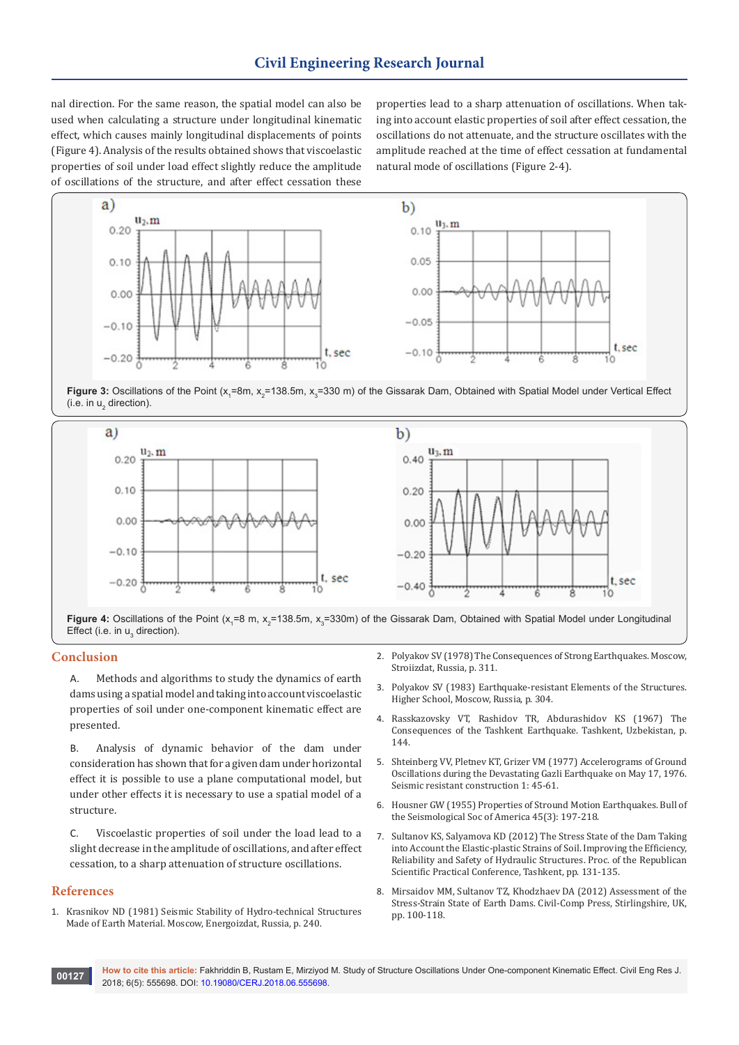nal direction. For the same reason, the spatial model can also be used when calculating a structure under longitudinal kinematic effect, which causes mainly longitudinal displacements of points (Figure 4). Analysis of the results obtained shows that viscoelastic properties of soil under load effect slightly reduce the amplitude of oscillations of the structure, and after effect cessation these

properties lead to a sharp attenuation of oscillations. When taking into account elastic properties of soil after effect cessation, the oscillations do not attenuate, and the structure oscillates with the amplitude reached at the time of effect cessation at fundamental natural mode of oscillations (Figure 2-4).



**Figure 3:** Oscillations of the Point (x<sub>1</sub>=8m, x<sub>2</sub>=138.5m, x<sub>3</sub>=330 m) of the Gissarak Dam, Obtained with Spatial Model under Vertical Effect (i.e. in  $u_2$  direction).



**Figure 4:** Oscillations of the Point (x<sub>1</sub>=8 m, x<sub>2</sub>=138.5m, x<sub>3</sub>=330m) of the Gissarak Dam, Obtained with Spatial Model under Longitudinal Effect (i.e. in  $u_3$  direction).

### **Conclusion**

- A. Methods and algorithms to study the dynamics of earth dams using a spatial model and taking into account viscoelastic properties of soil under one-component kinematic effect are presented.
- B. Analysis of dynamic behavior of the dam under consideration has shown that for a given dam under horizontal effect it is possible to use a plane computational model, but under other effects it is necessary to use a spatial model of a structure.
- C. Viscoelastic properties of soil under the load lead to a slight decrease in the amplitude of oscillations, and after effect cessation, to a sharp attenuation of structure oscillations.

#### **References**

1. Krasnikov ND (1981) Seismic Stability of Hydro-technical Structures Made of Earth Material. Moscow, Energoizdat, Russia, p. 240.

- 2. Polyakov SV (1978) The Consequences of Strong Earthquakes. Moscow, Stroiizdat, Russia, p. 311.
- 3. Polyakov SV (1983) Earthquake-resistant Elements of the Structures. Higher School, Moscow, Russia, p. 304.
- 4. Rasskazovsky VT, Rashidov TR, Abdurashidov KS (1967) The Consequences of the Tashkent Earthquake. Tashkent, Uzbekistan, p. 144.
- 5. Shteinberg VV, Pletnev KT, Grizer VM (1977) Accelerograms of Ground Oscillations during the Devastating Gazli Earthquake on May 17, 1976. Seismic resistant construction 1: 45-61.
- 6. [Housner GW \(1955\) Properties of Stround Motion Earthquakes. Bull of](https://pubs.geoscienceworld.org/ssa/bssa/article-abstract/45/3/197/115750/properties-of-strong-ground-motion-earthquakes?redirectedFrom=fulltext)  [the Seismological Soc оf America 45\(3\): 197-218.](https://pubs.geoscienceworld.org/ssa/bssa/article-abstract/45/3/197/115750/properties-of-strong-ground-motion-earthquakes?redirectedFrom=fulltext)
- 7. Sultanov KS, Salyamova KD (2012) The Stress State of the Dam Taking into Account the Elastic-plastic Strains of Soil. Improving the Efficiency, Reliability and Safety of Hydraulic Structures. Proc. of the Republican Scientific Practical Conference, Tashkent, pp. 131-135.
- 8. Mirsaidov MM, Sultanov TZ, Khodzhaev DA (2012) Assessment of the Stress-Strain State of Earth Dams. Civil-Comp Press, Stirlingshire, UK, рp. 100-118.

**How to cite this article:** Fakhriddin B, Rustam E, Mirziyod M. Study of Structure Oscillations Under One-component Kinematic Effect. Civil Eng Res J. 00127 **How to cite this article:** Fakhridgin B, Rustam E, Mirziyoc<br>2018; 6(5): 555698. DOI: 10.19080/CERJ.2018.06.555698